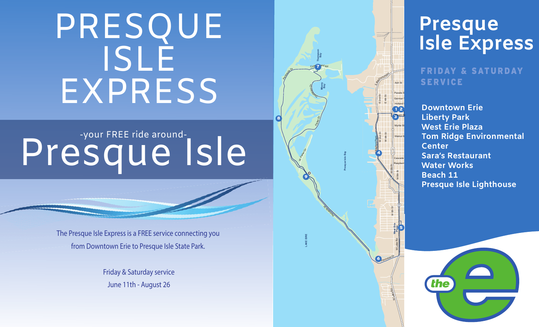### PRESQUE ISLE EXPRESS

# Presque Isle

The Presque Isle Express is a FREE service connecting you from Downtown Erie to Presque Isle State Park.

> Friday & Saturday service June 11th - August 26



W. Fisher \$

9

**LAKE EIRE**

Peninsula Dr

8

## Presque<br>Isle Express

FRIDAY & SATU RDAY

**Tom Ridge Environmental Downtown Erie West Erie PlazaSara's RestaurantPresque Isle Lighthouse**